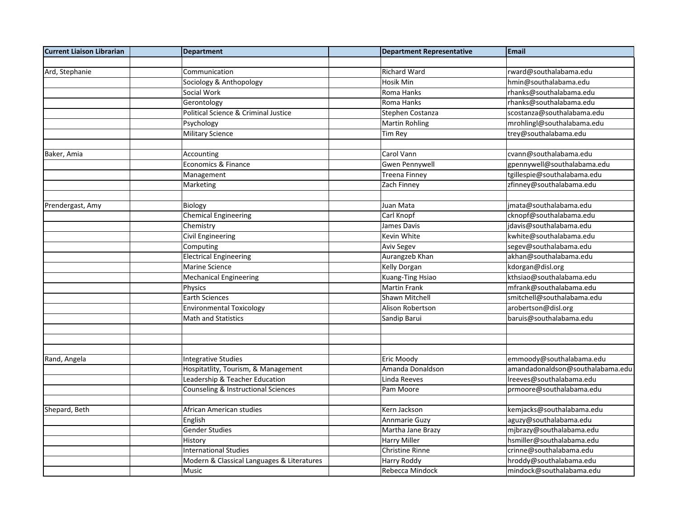| <b>Current Liaison Librarian</b> | <b>Department</b>                          | <b>Department Representative</b> | Email                            |
|----------------------------------|--------------------------------------------|----------------------------------|----------------------------------|
|                                  |                                            |                                  |                                  |
| Ard, Stephanie                   | Communication                              | <b>Richard Ward</b>              | rward@southalabama.edu           |
|                                  | Sociology & Anthopology                    | Hosik Min                        | hmin@southalabama.edu            |
|                                  | Social Work                                | Roma Hanks                       | rhanks@southalabama.edu          |
|                                  | Gerontology                                | Roma Hanks                       | rhanks@southalabama.edu          |
|                                  | Political Science & Criminal Justice       | Stephen Costanza                 | scostanza@southalabama.edu       |
|                                  | Psychology                                 | <b>Martin Rohling</b>            | mrohlingl@southalabama.edu       |
|                                  | <b>Military Science</b>                    | Tim Rey                          | trey@southalabama.edu            |
|                                  |                                            |                                  |                                  |
| Baker, Amia                      | Accounting                                 | Carol Vann                       | cvann@southalabama.edu           |
|                                  | Economics & Finance                        | <b>Gwen Pennywell</b>            | gpennywell@southalabama.edu      |
|                                  | Management                                 | <b>Treena Finney</b>             | tgillespie@southalabama.edu      |
|                                  | Marketing                                  | Zach Finney                      | zfinney@southalabama.edu         |
|                                  |                                            |                                  |                                  |
| Prendergast, Amy                 | Biology                                    | Juan Mata                        | jmata@southalabama.edu           |
|                                  | <b>Chemical Engineering</b>                | Carl Knopf                       | cknopf@southalabama.edu          |
|                                  | Chemistry                                  | James Davis                      | jdavis@southalabama.edu          |
|                                  | <b>Civil Engineering</b>                   | Kevin White                      | kwhite@southalabama.edu          |
|                                  | Computing                                  | <b>Aviv Segev</b>                | segev@southalabama.edu           |
|                                  | <b>Electrical Engineering</b>              | Aurangzeb Khan                   | akhan@southalabama.edu           |
|                                  | Marine Science                             | <b>Kelly Dorgan</b>              | kdorgan@disl.org                 |
|                                  | Mechanical Engineering                     | Kuang-Ting Hsiao                 | kthsiao@southalabama.edu         |
|                                  | Physics                                    | <b>Martin Frank</b>              | mfrank@southalabama.edu          |
|                                  | Earth Sciences                             | Shawn Mitchell                   | smitchell@southalabama.edu       |
|                                  | <b>Environmental Toxicology</b>            | <b>Alison Robertson</b>          | arobertson@disl.org              |
|                                  | <b>Math and Statistics</b>                 | Sandip Barui                     | baruis@southalabama.edu          |
|                                  |                                            |                                  |                                  |
|                                  |                                            |                                  |                                  |
|                                  |                                            |                                  |                                  |
| Rand, Angela                     | <b>Integrative Studies</b>                 | Eric Moody                       | emmoody@southalabama.edu         |
|                                  | Hospitatlity, Tourism, & Management        | Amanda Donaldson                 | amandadonaldson@southalabama.edu |
|                                  | Leadership & Teacher Education             | Linda Reeves                     | Ireeves@southalabama.edu         |
|                                  | Counseling & Instructional Sciences        | Pam Moore                        | prmoore@southalabama.edu         |
|                                  |                                            |                                  |                                  |
| Shepard, Beth                    | African American studies                   | Kern Jackson                     | kemjacks@southalabama.edu        |
|                                  | English                                    | Annmarie Guzy                    | aguzy@southalabama.edu           |
|                                  | <b>Gender Studies</b>                      | Martha Jane Brazy                | mjbrazy@southalabama.edu         |
|                                  | History                                    | Harry Miller                     | hsmiller@southalabama.edu        |
|                                  | <b>International Studies</b>               | <b>Christine Rinne</b>           | crinne@southalabama.edu          |
|                                  | Modern & Classical Languages & Literatures | Harry Roddy                      | hroddy@southalabama.edu          |
|                                  | Music                                      | Rebecca Mindock                  | mindock@southalabama.edu         |